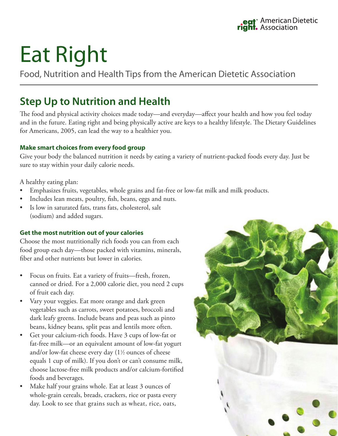# Eat Right

Food, Nutrition and Health Tips from the American Dietetic Association

# **Step Up to Nutrition and Health**

The food and physical activity choices made today—and everyday—affect your health and how you feel today and in the future. Eating right and being physically active are keys to a healthy lifestyle. The Dietary Guidelines for Americans, 2005, can lead the way to a healthier you.

#### **Make smart choices from every food group**

Give your body the balanced nutrition it needs by eating a variety of nutrient-packed foods every day. Just be sure to stay within your daily calorie needs.

A healthy eating plan:

- Emphasizes fruits, vegetables, whole grains and fat-free or low-fat milk and milk products.
- Includes lean meats, poultry, fish, beans, eggs and nuts.
- Is low in saturated fats, trans fats, cholesterol, salt (sodium) and added sugars.

#### **Get the most nutrition out of your calories**

Choose the most nutritionally rich foods you can from each food group each day—those packed with vitamins, minerals, fiber and other nutrients but lower in calories.

- • Focus on fruits. Eat a variety of fruits—fresh, frozen, canned or dried. For a 2,000 calorie diet, you need 2 cups of fruit each day.
- Vary your veggies. Eat more orange and dark green vegetables such as carrots, sweet potatoes, broccoli and dark leafy greens. Include beans and peas such as pinto beans, kidney beans, split peas and lentils more often.
- • Get your calcium-rich foods. Have 3 cups of low-fat or fat-free milk—or an equivalent amount of low-fat yogurt and/or low-fat cheese every day (11 ⁄2 ounces of cheese equals 1 cup of milk). If you don't or can't consume milk, choose lactose-free milk products and/or calcium-fortified foods and beverages.
- Make half your grains whole. Eat at least 3 ounces of whole-grain cereals, breads, crackers, rice or pasta every day. Look to see that grains such as wheat, rice, oats,